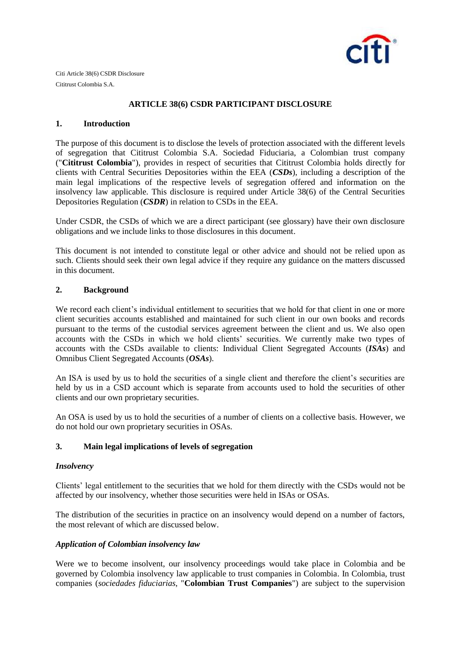

Citi Article 38(6) CSDR Disclosure Cititrust Colombia S.A.

## **ARTICLE 38(6) CSDR PARTICIPANT DISCLOSURE**

#### **1. Introduction**

The purpose of this document is to disclose the levels of protection associated with the different levels of segregation that Cititrust Colombia S.A. Sociedad Fiduciaria, a Colombian trust company ("**Cititrust Colombia**"), provides in respect of securities that Cititrust Colombia holds directly for clients with Central Securities Depositories within the EEA (*CSDs*), including a description of the main legal implications of the respective levels of segregation offered and information on the insolvency law applicable. This disclosure is required under Article 38(6) of the Central Securities Depositories Regulation (*CSDR*) in relation to CSDs in the EEA.

Under CSDR, the CSDs of which we are a direct participant (see glossary) have their own disclosure obligations and we include links to those disclosures in this document.

This document is not intended to constitute legal or other advice and should not be relied upon as such. Clients should seek their own legal advice if they require any guidance on the matters discussed in this document.

## **2. Background**

We record each client's individual entitlement to securities that we hold for that client in one or more client securities accounts established and maintained for such client in our own books and records pursuant to the terms of the custodial services agreement between the client and us. We also open accounts with the CSDs in which we hold clients' securities. We currently make two types of accounts with the CSDs available to clients: Individual Client Segregated Accounts (*ISAs*) and Omnibus Client Segregated Accounts (*OSAs*).

An ISA is used by us to hold the securities of a single client and therefore the client's securities are held by us in a CSD account which is separate from accounts used to hold the securities of other clients and our own proprietary securities.

An OSA is used by us to hold the securities of a number of clients on a collective basis. However, we do not hold our own proprietary securities in OSAs.

## **3. Main legal implications of levels of segregation**

## *Insolvency*

Clients' legal entitlement to the securities that we hold for them directly with the CSDs would not be affected by our insolvency, whether those securities were held in ISAs or OSAs.

The distribution of the securities in practice on an insolvency would depend on a number of factors, the most relevant of which are discussed below.

## *Application of Colombian insolvency law*

Were we to become insolvent, our insolvency proceedings would take place in Colombia and be governed by Colombia insolvency law applicable to trust companies in Colombia. In Colombia, trust companies (*sociedades fiduciarias*, "**Colombian Trust Companies**") are subject to the supervision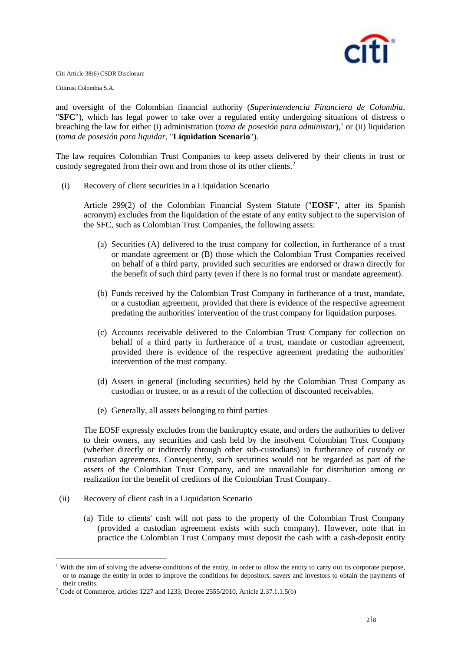

Cititrust Colombia S.A.

and oversight of the Colombian financial authority (*Superintendencia Financiera de Colombia*, "**SFC**"), which has legal power to take over a regulated entity undergoing situations of distress o breaching the law for either (i) administration (*toma de posesión para administar*),<sup>1</sup> or (ii) liquidation (*toma de posesión para liquidar*, "**Liquidation Scenario**").

The law requires Colombian Trust Companies to keep assets delivered by their clients in trust or custody segregated from their own and from those of its other clients.<sup>2</sup>

(i) Recovery of client securities in a Liquidation Scenario

Article 299(2) of the Colombian Financial System Statute ("**EOSF**", after its Spanish acronym) excludes from the liquidation of the estate of any entity subject to the supervision of the SFC, such as Colombian Trust Companies, the following assets:

- (a) Securities (A) delivered to the trust company for collection, in furtherance of a trust or mandate agreement or (B) those which the Colombian Trust Companies received on behalf of a third party, provided such securities are endorsed or drawn directly for the benefit of such third party (even if there is no formal trust or mandate agreement).
- (b) Funds received by the Colombian Trust Company in furtherance of a trust, mandate, or a custodian agreement, provided that there is evidence of the respective agreement predating the authorities' intervention of the trust company for liquidation purposes.
- (c) Accounts receivable delivered to the Colombian Trust Company for collection on behalf of a third party in furtherance of a trust, mandate or custodian agreement, provided there is evidence of the respective agreement predating the authorities' intervention of the trust company.
- (d) Assets in general (including securities) held by the Colombian Trust Company as custodian or trustee, or as a result of the collection of discounted receivables.
- (e) Generally, all assets belonging to third parties

The EOSF expressly excludes from the bankruptcy estate, and orders the authorities to deliver to their owners, any securities and cash held by the insolvent Colombian Trust Company (whether directly or indirectly through other sub-custodians) in furtherance of custody or custodian agreements. Consequently, such securities would not be regarded as part of the assets of the Colombian Trust Company, and are unavailable for distribution among or realization for the benefit of creditors of the Colombian Trust Company.

(ii) Recovery of client cash in a Liquidation Scenario

1

(a) Title to clients' cash will not pass to the property of the Colombian Trust Company (provided a custodian agreement exists with such company). However, note that in practice the Colombian Trust Company must deposit the cash with a cash-deposit entity

<sup>&</sup>lt;sup>1</sup> With the aim of solving the adverse conditions of the entity, in order to allow the entity to carry out its corporate purpose, or to manage the entity in order to improve the conditions for depositors, savers and investors to obtain the payments of their credits.

<sup>2</sup> Code of Commerce, articles 1227 and 1233; Decree 2555/2010, Article 2.37.1.1.5(b)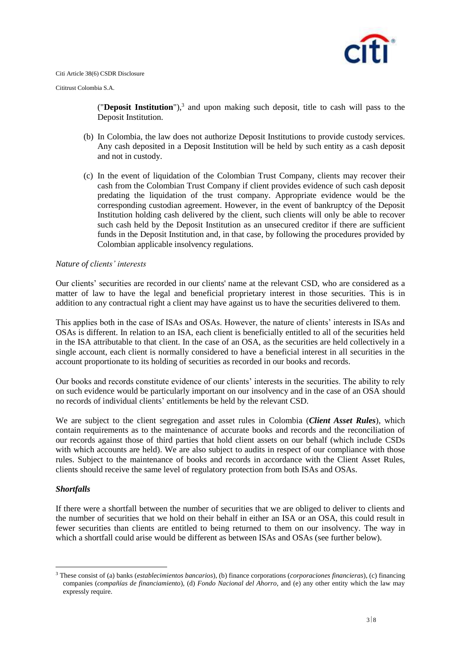

Cititrust Colombia S.A.

("Deposit Institution"),<sup>3</sup> and upon making such deposit, title to cash will pass to the Deposit Institution.

- (b) In Colombia, the law does not authorize Deposit Institutions to provide custody services. Any cash deposited in a Deposit Institution will be held by such entity as a cash deposit and not in custody.
- (c) In the event of liquidation of the Colombian Trust Company, clients may recover their cash from the Colombian Trust Company if client provides evidence of such cash deposit predating the liquidation of the trust company. Appropriate evidence would be the corresponding custodian agreement. However, in the event of bankruptcy of the Deposit Institution holding cash delivered by the client, such clients will only be able to recover such cash held by the Deposit Institution as an unsecured creditor if there are sufficient funds in the Deposit Institution and, in that case, by following the procedures provided by Colombian applicable insolvency regulations.

#### *Nature of clients' interests*

Our clients' securities are recorded in our clients' name at the relevant CSD, who are considered as a matter of law to have the legal and beneficial proprietary interest in those securities. This is in addition to any contractual right a client may have against us to have the securities delivered to them.

This applies both in the case of ISAs and OSAs. However, the nature of clients' interests in ISAs and OSAs is different. In relation to an ISA, each client is beneficially entitled to all of the securities held in the ISA attributable to that client. In the case of an OSA, as the securities are held collectively in a single account, each client is normally considered to have a beneficial interest in all securities in the account proportionate to its holding of securities as recorded in our books and records.

Our books and records constitute evidence of our clients' interests in the securities. The ability to rely on such evidence would be particularly important on our insolvency and in the case of an OSA should no records of individual clients' entitlements be held by the relevant CSD.

We are subject to the client segregation and asset rules in Colombia (*Client Asset Rules*), which contain requirements as to the maintenance of accurate books and records and the reconciliation of our records against those of third parties that hold client assets on our behalf (which include CSDs with which accounts are held). We are also subject to audits in respect of our compliance with those rules. Subject to the maintenance of books and records in accordance with the Client Asset Rules, clients should receive the same level of regulatory protection from both ISAs and OSAs.

## *Shortfalls*

1

If there were a shortfall between the number of securities that we are obliged to deliver to clients and the number of securities that we hold on their behalf in either an ISA or an OSA, this could result in fewer securities than clients are entitled to being returned to them on our insolvency. The way in which a shortfall could arise would be different as between ISAs and OSAs (see further below).

<sup>3</sup> These consist of (a) banks (*establecimientos bancarios*), (b) finance corporations (*corporaciones financieras*), (c) financing companies (*compañías de financiamiento*), (d) *Fondo Nacional del Ahorro*, and (e) any other entity which the law may expressly require.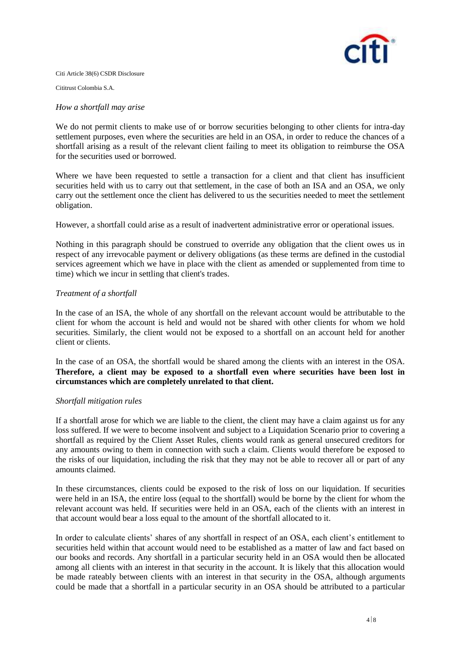

Cititrust Colombia S.A.

#### *How a shortfall may arise*

We do not permit clients to make use of or borrow securities belonging to other clients for intra-day settlement purposes, even where the securities are held in an OSA, in order to reduce the chances of a shortfall arising as a result of the relevant client failing to meet its obligation to reimburse the OSA for the securities used or borrowed.

Where we have been requested to settle a transaction for a client and that client has insufficient securities held with us to carry out that settlement, in the case of both an ISA and an OSA, we only carry out the settlement once the client has delivered to us the securities needed to meet the settlement obligation.

However, a shortfall could arise as a result of inadvertent administrative error or operational issues.

Nothing in this paragraph should be construed to override any obligation that the client owes us in respect of any irrevocable payment or delivery obligations (as these terms are defined in the custodial services agreement which we have in place with the client as amended or supplemented from time to time) which we incur in settling that client's trades.

## *Treatment of a shortfall*

In the case of an ISA, the whole of any shortfall on the relevant account would be attributable to the client for whom the account is held and would not be shared with other clients for whom we hold securities. Similarly, the client would not be exposed to a shortfall on an account held for another client or clients.

In the case of an OSA, the shortfall would be shared among the clients with an interest in the OSA. **Therefore, a client may be exposed to a shortfall even where securities have been lost in circumstances which are completely unrelated to that client.**

## *Shortfall mitigation rules*

If a shortfall arose for which we are liable to the client, the client may have a claim against us for any loss suffered. If we were to become insolvent and subject to a Liquidation Scenario prior to covering a shortfall as required by the Client Asset Rules, clients would rank as general unsecured creditors for any amounts owing to them in connection with such a claim. Clients would therefore be exposed to the risks of our liquidation, including the risk that they may not be able to recover all or part of any amounts claimed.

In these circumstances, clients could be exposed to the risk of loss on our liquidation. If securities were held in an ISA, the entire loss (equal to the shortfall) would be borne by the client for whom the relevant account was held. If securities were held in an OSA, each of the clients with an interest in that account would bear a loss equal to the amount of the shortfall allocated to it.

In order to calculate clients' shares of any shortfall in respect of an OSA, each client's entitlement to securities held within that account would need to be established as a matter of law and fact based on our books and records. Any shortfall in a particular security held in an OSA would then be allocated among all clients with an interest in that security in the account. It is likely that this allocation would be made rateably between clients with an interest in that security in the OSA, although arguments could be made that a shortfall in a particular security in an OSA should be attributed to a particular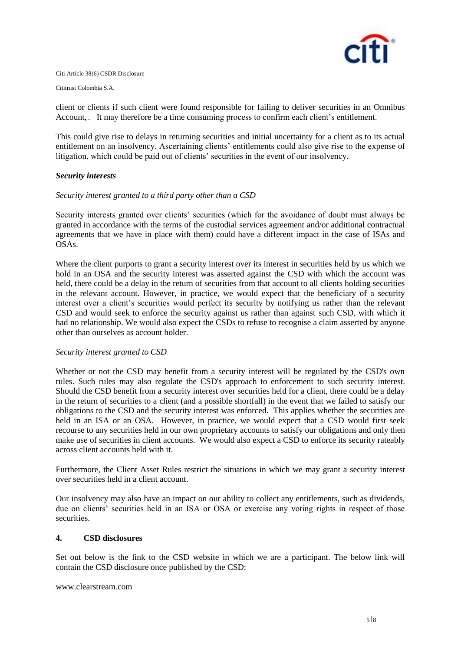

Cititrust Colombia S.A.

client or clients if such client were found responsible for failing to deliver securities in an Omnibus Account, . It may therefore be a time consuming process to confirm each client's entitlement.

This could give rise to delays in returning securities and initial uncertainty for a client as to its actual entitlement on an insolvency. Ascertaining clients' entitlements could also give rise to the expense of litigation, which could be paid out of clients' securities in the event of our insolvency.

#### *Security interests*

#### *Security interest granted to a third party other than a CSD*

Security interests granted over clients' securities (which for the avoidance of doubt must always be granted in accordance with the terms of the custodial services agreement and/or additional contractual agreements that we have in place with them) could have a different impact in the case of ISAs and OSAs.

Where the client purports to grant a security interest over its interest in securities held by us which we hold in an OSA and the security interest was asserted against the CSD with which the account was held, there could be a delay in the return of securities from that account to all clients holding securities in the relevant account. However, in practice, we would expect that the beneficiary of a security interest over a client's securities would perfect its security by notifying us rather than the relevant CSD and would seek to enforce the security against us rather than against such CSD, with which it had no relationship. We would also expect the CSDs to refuse to recognise a claim asserted by anyone other than ourselves as account holder.

#### *Security interest granted to CSD*

Whether or not the CSD may benefit from a security interest will be regulated by the CSD's own rules. Such rules may also regulate the CSD's approach to enforcement to such security interest. Should the CSD benefit from a security interest over securities held for a client, there could be a delay in the return of securities to a client (and a possible shortfall) in the event that we failed to satisfy our obligations to the CSD and the security interest was enforced. This applies whether the securities are held in an ISA or an OSA. However, in practice, we would expect that a CSD would first seek recourse to any securities held in our own proprietary accounts to satisfy our obligations and only then make use of securities in client accounts. We would also expect a CSD to enforce its security rateably across client accounts held with it.

Furthermore, the Client Asset Rules restrict the situations in which we may grant a security interest over securities held in a client account.

Our insolvency may also have an impact on our ability to collect any entitlements, such as dividends, due on clients' securities held in an ISA or OSA or exercise any voting rights in respect of those securities.

#### **4. CSD disclosures**

Set out below is the link to the CSD website in which we are a participant. The below link will contain the CSD disclosure once published by the CSD:

www.clearstream.com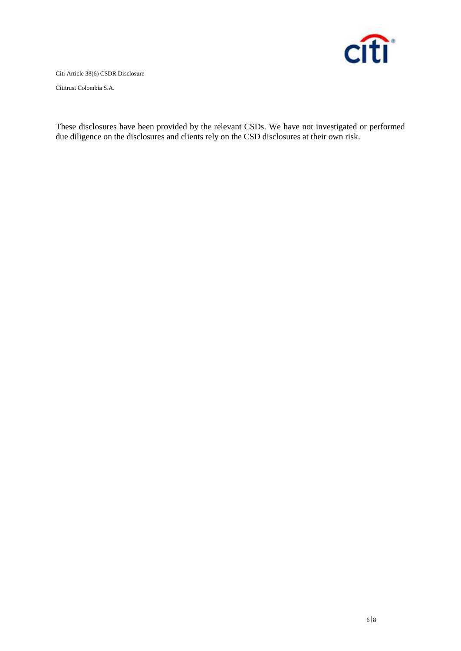

Cititrust Colombia S.A.

These disclosures have been provided by the relevant CSDs. We have not investigated or performed due diligence on the disclosures and clients rely on the CSD disclosures at their own risk.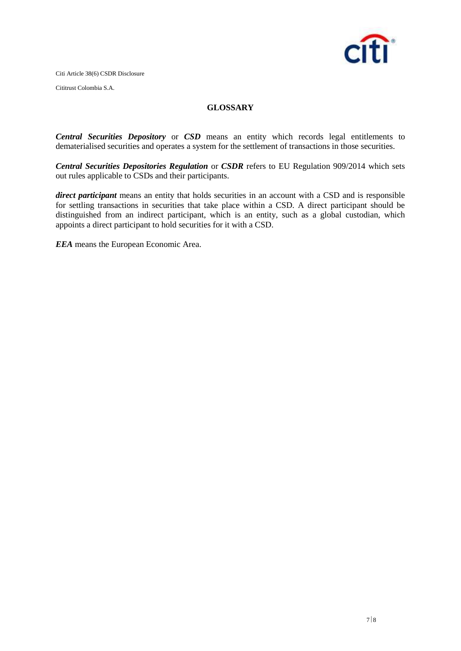

Cititrust Colombia S.A.

# **GLOSSARY**

*Central Securities Depository* or *CSD* means an entity which records legal entitlements to dematerialised securities and operates a system for the settlement of transactions in those securities.

*Central Securities Depositories Regulation* or *CSDR* refers to EU Regulation 909/2014 which sets out rules applicable to CSDs and their participants.

*direct participant* means an entity that holds securities in an account with a CSD and is responsible for settling transactions in securities that take place within a CSD. A direct participant should be distinguished from an indirect participant, which is an entity, such as a global custodian, which appoints a direct participant to hold securities for it with a CSD.

*EEA* means the European Economic Area.